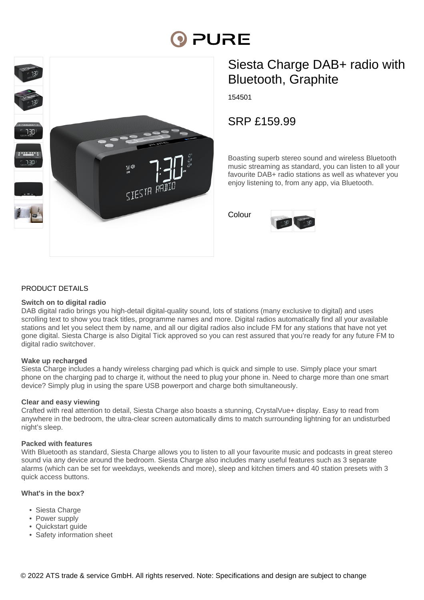# PURE



# Siesta Charge DAB+ radio with Bluetooth, Graphite

154501

SRP £159.99

Boasting superb stereo sound and wireless Bluetooth music streaming as standard, you can listen to all your favourite DAB+ radio stations as well as whatever you enjoy listening to, from any app, via Bluetooth.

Colour



### PRODUCT DETAILS

#### **Switch on to digital radio**

DAB digital radio brings you high-detail digital-quality sound, lots of stations (many exclusive to digital) and uses scrolling text to show you track titles, programme names and more. Digital radios automatically find all your available stations and let you select them by name, and all our digital radios also include FM for any stations that have not yet gone digital. Siesta Charge is also Digital Tick approved so you can rest assured that you're ready for any future FM to digital radio switchover.

#### **Wake up recharged**

Siesta Charge includes a handy wireless charging pad which is quick and simple to use. Simply place your smart phone on the charging pad to charge it, without the need to plug your phone in. Need to charge more than one smart device? Simply plug in using the spare USB powerport and charge both simultaneously.

#### **Clear and easy viewing**

Crafted with real attention to detail, Siesta Charge also boasts a stunning, CrystalVue+ display. Easy to read from anywhere in the bedroom, the ultra-clear screen automatically dims to match surrounding lightning for an undisturbed night's sleep.

#### **Packed with features**

With Bluetooth as standard, Siesta Charge allows you to listen to all your favourite music and podcasts in great stereo sound via any device around the bedroom. Siesta Charge also includes many useful features such as 3 separate alarms (which can be set for weekdays, weekends and more), sleep and kitchen timers and 40 station presets with 3 quick access buttons.

#### **What's in the box?**

- Siesta Charge
- Power supply
- Quickstart quide
- Safety information sheet